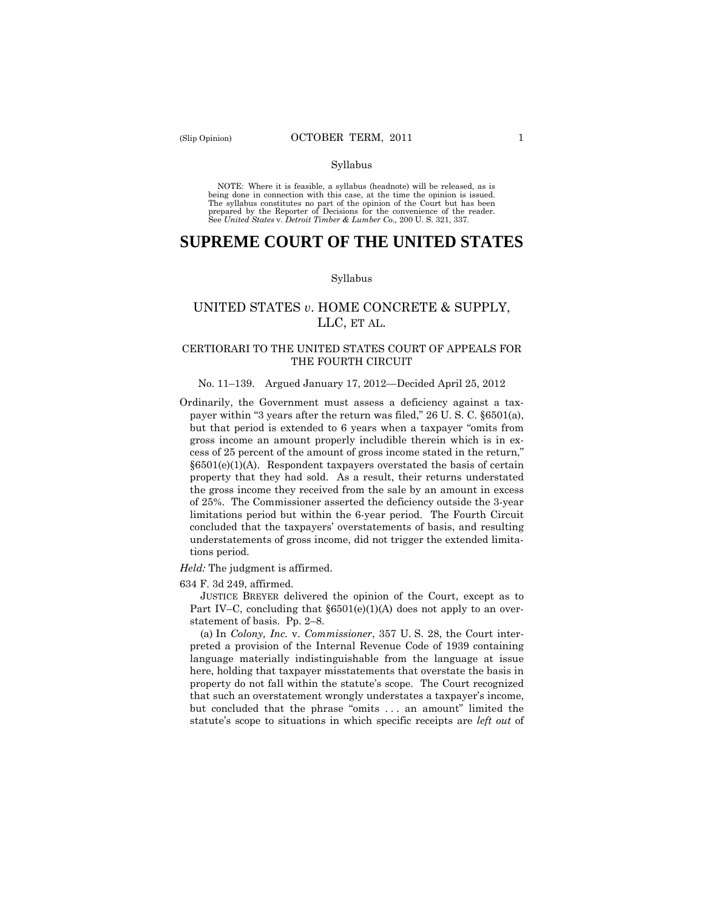#### Syllabus

 NOTE: Where it is feasible, a syllabus (headnote) will be released, as is being done in connection with this case, at the time the opinion is issued. The syllabus constitutes no part of the opinion of the Court but has been<br>prepared by the Reporter of Decisions for the convenience of the reader.<br>See United States v. Detroit Timber & Lumber Co., 200 U.S. 321, 337.

# **SUPREME COURT OF THE UNITED STATES**

#### Syllabus

# UNITED STATES *v*. HOME CONCRETE & SUPPLY, LLC, ET AL.

## CERTIORARI TO THE UNITED STATES COURT OF APPEALS FOR THE FOURTH CIRCUIT

## No. 11–139. Argued January 17, 2012—Decided April 25, 2012

Ordinarily, the Government must assess a deficiency against a taxpayer within "3 years after the return was filed," 26 U. S. C. §6501(a), but that period is extended to 6 years when a taxpayer "omits from gross income an amount properly includible therein which is in excess of 25 percent of the amount of gross income stated in the return,"  $§6501(e)(1)(A)$ . Respondent taxpayers overstated the basis of certain property that they had sold. As a result, their returns understated the gross income they received from the sale by an amount in excess of 25%. The Commissioner asserted the deficiency outside the 3-year limitations period but within the 6-year period. The Fourth Circuit concluded that the taxpayers' overstatements of basis, and resulting understatements of gross income, did not trigger the extended limitations period.

#### *Held:* The judgment is affirmed.

634 F. 3d 249, affirmed.

JUSTICE BREYER delivered the opinion of the Court, except as to Part IV–C, concluding that  $\S6501(e)(1)(A)$  does not apply to an overstatement of basis. Pp. 2–8.

(a) In *Colony, Inc.* v. *Commissioner*, 357 U. S. 28, the Court interpreted a provision of the Internal Revenue Code of 1939 containing language materially indistinguishable from the language at issue here, holding that taxpayer misstatements that overstate the basis in property do not fall within the statute's scope. The Court recognized that such an overstatement wrongly understates a taxpayer's income, but concluded that the phrase "omits . . . an amount" limited the statute's scope to situations in which specific receipts are *left out* of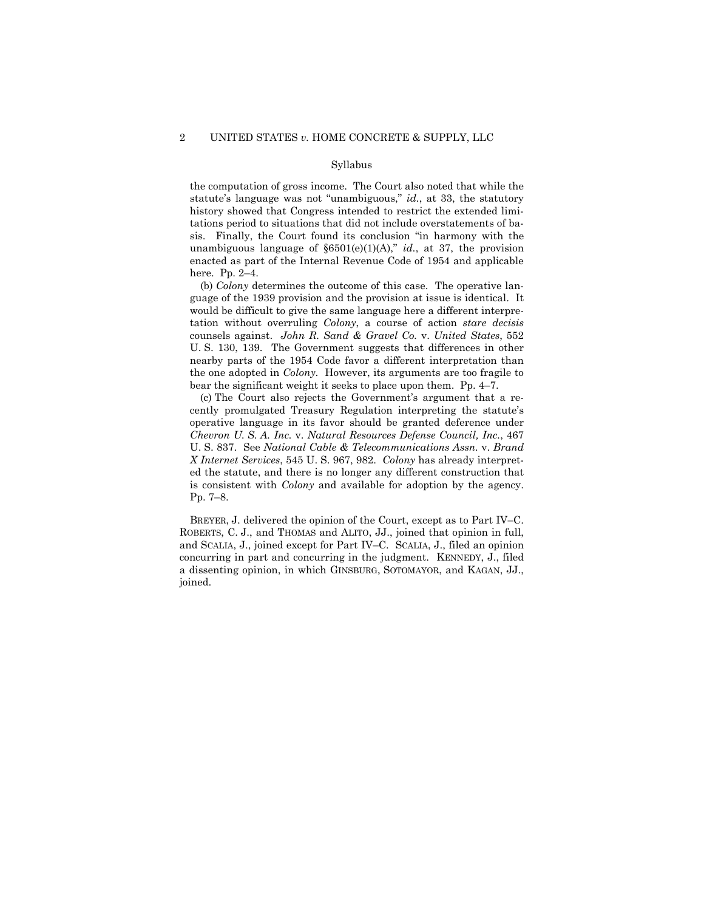#### Syllabus

the computation of gross income. The Court also noted that while the statute's language was not "unambiguous," *id.*, at 33, the statutory history showed that Congress intended to restrict the extended limitations period to situations that did not include overstatements of basis. Finally, the Court found its conclusion "in harmony with the unambiguous language of  $\S6501(e)(1)(A)$ ," *id.*, at 37, the provision enacted as part of the Internal Revenue Code of 1954 and applicable here. Pp. 2–4.

(b) *Colony* determines the outcome of this case. The operative language of the 1939 provision and the provision at issue is identical. It would be difficult to give the same language here a different interpretation without overruling *Colony*, a course of action *stare decisis*  counsels against. *John R. Sand & Gravel Co.* v. *United States*, 552 U. S. 130, 139. The Government suggests that differences in other nearby parts of the 1954 Code favor a different interpretation than the one adopted in *Colony.* However, its arguments are too fragile to bear the significant weight it seeks to place upon them. Pp. 4–7.

(c) The Court also rejects the Government's argument that a recently promulgated Treasury Regulation interpreting the statute's operative language in its favor should be granted deference under *Chevron U. S. A. Inc.* v. *Natural Resources Defense Council, Inc.*, 467 U. S. 837. See *National Cable & Telecommunications Assn.* v. *Brand X Internet Services*, 545 U. S. 967, 982. *Colony* has already interpreted the statute, and there is no longer any different construction that is consistent with *Colony* and available for adoption by the agency. Pp. 7–8.

BREYER, J. delivered the opinion of the Court, except as to Part IV–C. ROBERTS, C. J., and THOMAS and ALITO, JJ., joined that opinion in full, and SCALIA, J., joined except for Part IV–C. SCALIA, J., filed an opinion concurring in part and concurring in the judgment. KENNEDY, J., filed a dissenting opinion, in which GINSBURG, SOTOMAYOR, and KAGAN, JJ., joined.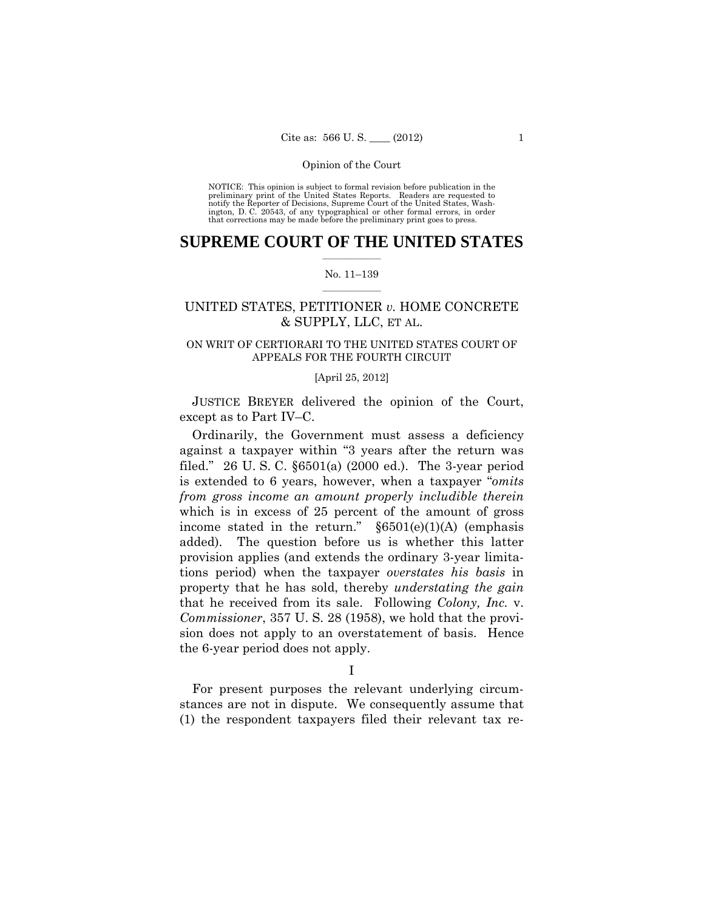preliminary print of the United States Reports. Readers are requested to notify the Reporter of Decisions, Supreme Court of the United States, Wash- ington, D. C. 20543, of any typographical or other formal errors, in order that corrections may be made before the preliminary print goes to press. NOTICE: This opinion is subject to formal revision before publication in the

## $\frac{1}{2}$  ,  $\frac{1}{2}$  ,  $\frac{1}{2}$  ,  $\frac{1}{2}$  ,  $\frac{1}{2}$  ,  $\frac{1}{2}$  ,  $\frac{1}{2}$ **SUPREME COURT OF THE UNITED STATES**

## $\frac{1}{2}$  ,  $\frac{1}{2}$  ,  $\frac{1}{2}$  ,  $\frac{1}{2}$  ,  $\frac{1}{2}$  ,  $\frac{1}{2}$ No. 11–139

# UNITED STATES, PETITIONER *v.* HOME CONCRETE & SUPPLY, LLC, ET AL.

## ON WRIT OF CERTIORARI TO THE UNITED STATES COURT OF APPEALS FOR THE FOURTH CIRCUIT

## [April 25, 2012]

JUSTICE BREYER delivered the opinion of the Court, except as to Part IV–C.

Ordinarily, the Government must assess a deficiency against a taxpayer within "3 years after the return was filed." 26 U. S. C. §6501(a) (2000 ed.). The 3-year period is extended to 6 years, however, when a taxpayer "*omits from gross income an amount properly includible therein* which is in excess of 25 percent of the amount of gross income stated in the return."  $\frac{\delta 6501(e)}{1)}$  (emphasis added). The question before us is whether this latter provision applies (and extends the ordinary 3-year limitations period) when the taxpayer *overstates his basis* in property that he has sold, thereby *understating the gain* that he received from its sale. Following *Colony, Inc.* v. *Commissioner*, 357 U. S. 28 (1958), we hold that the provision does not apply to an overstatement of basis. Hence the 6-year period does not apply.

### I

For present purposes the relevant underlying circumstances are not in dispute. We consequently assume that (1) the respondent taxpayers filed their relevant tax re-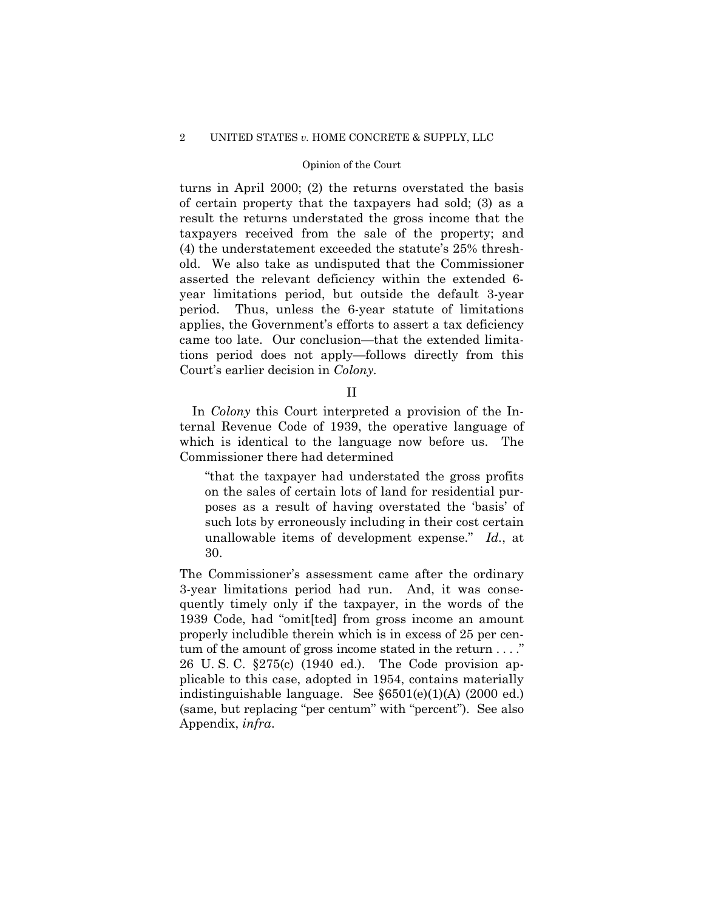turns in April 2000; (2) the returns overstated the basis of certain property that the taxpayers had sold; (3) as a result the returns understated the gross income that the taxpayers received from the sale of the property; and (4) the understatement exceeded the statute's 25% threshold. We also take as undisputed that the Commissioner asserted the relevant deficiency within the extended 6 year limitations period, but outside the default 3-year period. Thus, unless the 6-year statute of limitations applies, the Government's efforts to assert a tax deficiency came too late. Our conclusion—that the extended limitations period does not apply—follows directly from this Court's earlier decision in *Colony.* 

II

 In *Colony* this Court interpreted a provision of the Internal Revenue Code of 1939, the operative language of which is identical to the language now before us. The Commissioner there had determined

"that the taxpayer had understated the gross profits on the sales of certain lots of land for residential purposes as a result of having overstated the 'basis' of such lots by erroneously including in their cost certain unallowable items of development expense." *Id.*, at 30.

tum of the amount of gross income stated in the return . . . ." (same, but replacing "per centum" with "percent"). See also The Commissioner's assessment came after the ordinary 3-year limitations period had run. And, it was consequently timely only if the taxpayer, in the words of the 1939 Code, had "omit[ted] from gross income an amount properly includible therein which is in excess of 25 per cen-26 U. S. C. §275(c) (1940 ed.). The Code provision applicable to this case, adopted in 1954, contains materially indistinguishable language. See §6501(e)(1)(A) (2000 ed.) Appendix, *infra*.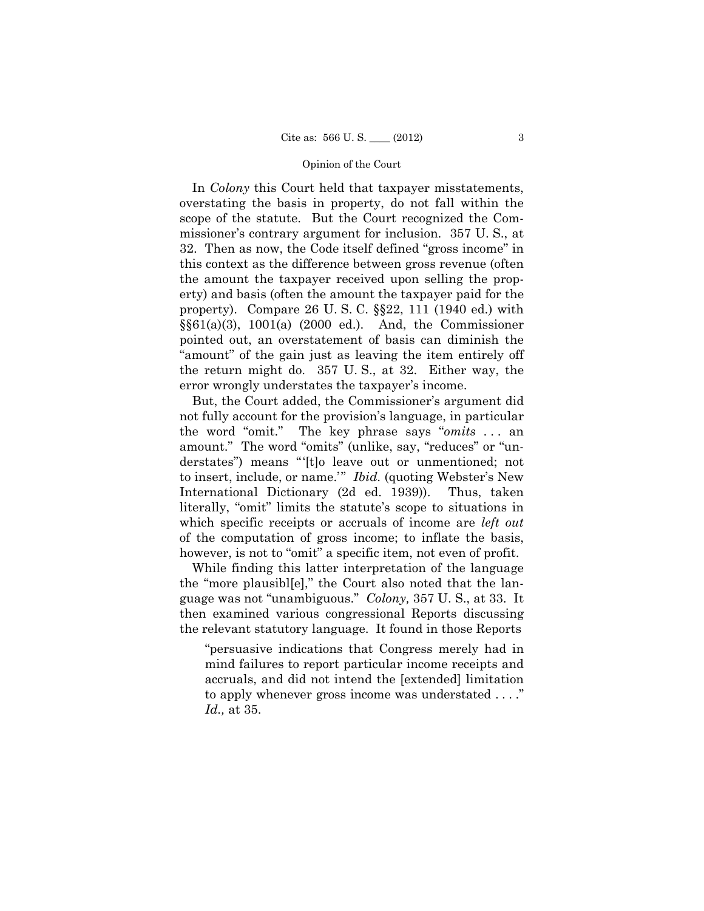property). Compare 26 U. S. C. §§22, 111 (1940 ed.) with In *Colony* this Court held that taxpayer misstatements, overstating the basis in property, do not fall within the scope of the statute. But the Court recognized the Commissioner's contrary argument for inclusion. 357 U. S., at 32. Then as now, the Code itself defined "gross income" in this context as the difference between gross revenue (often the amount the taxpayer received upon selling the property) and basis (often the amount the taxpayer paid for the §§61(a)(3), 1001(a) (2000 ed.). And, the Commissioner pointed out, an overstatement of basis can diminish the "amount" of the gain just as leaving the item entirely off the return might do. 357 U. S., at 32. Either way, the error wrongly understates the taxpayer's income.

 the word "omit." The key phrase says "*omits* . . . an But, the Court added, the Commissioner's argument did not fully account for the provision's language, in particular amount." The word "omits" (unlike, say, "reduces" or "understates") means "'[t]o leave out or unmentioned; not to insert, include, or name.'" *Ibid.* (quoting Webster's New International Dictionary (2d ed. 1939)). Thus, taken literally, "omit" limits the statute's scope to situations in which specific receipts or accruals of income are *left out*  of the computation of gross income; to inflate the basis, however, is not to "omit" a specific item, not even of profit.

While finding this latter interpretation of the language the "more plausibl[e]," the Court also noted that the language was not "unambiguous." *Colony,* 357 U. S., at 33. It then examined various congressional Reports discussing the relevant statutory language. It found in those Reports

 to apply whenever gross income was understated . . . ." "persuasive indications that Congress merely had in mind failures to report particular income receipts and accruals, and did not intend the [extended] limitation *Id.,* at 35.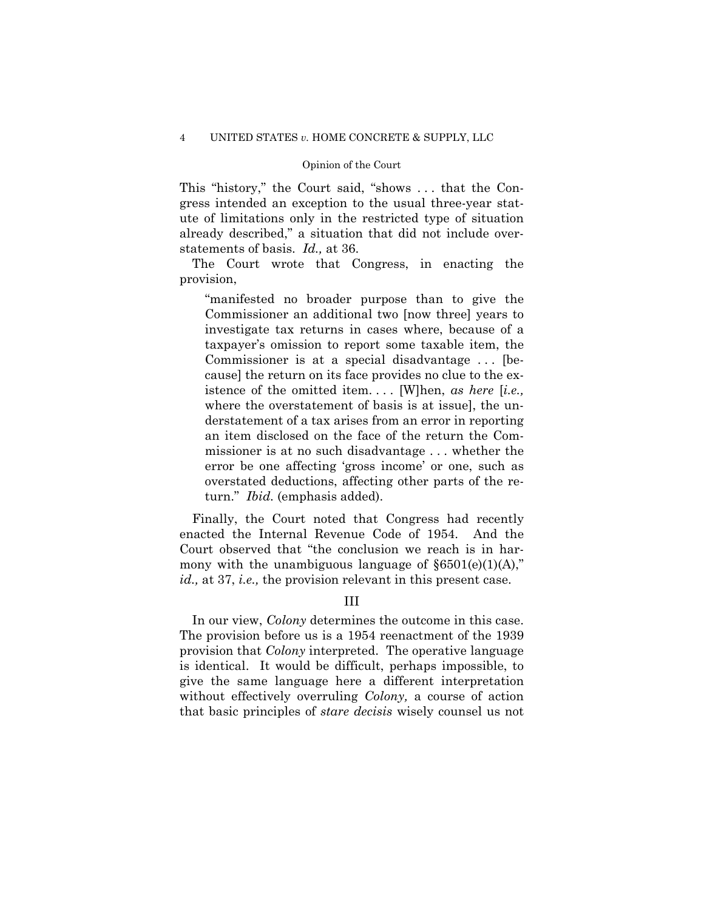This "history," the Court said, "shows . . . that the Congress intended an exception to the usual three-year statute of limitations only in the restricted type of situation already described," a situation that did not include overstatements of basis. *Id.,* at 36.

The Court wrote that Congress, in enacting the provision,

"manifested no broader purpose than to give the Commissioner an additional two [now three] years to investigate tax returns in cases where, because of a taxpayer's omission to report some taxable item, the Commissioner is at a special disadvantage . . . [because] the return on its face provides no clue to the existence of the omitted item. . . . [W]hen, *as here* [*i.e.,*  where the overstatement of basis is at issue], the understatement of a tax arises from an error in reporting an item disclosed on the face of the return the Commissioner is at no such disadvantage . . . whether the error be one affecting 'gross income' or one, such as overstated deductions, affecting other parts of the return." *Ibid.* (emphasis added).

Finally, the Court noted that Congress had recently enacted the Internal Revenue Code of 1954. And the Court observed that "the conclusion we reach is in harmony with the unambiguous language of  $\S6501(e)(1)(A)$ ," *id.,* at 37, *i.e.,* the provision relevant in this present case.

III

In our view, *Colony* determines the outcome in this case. The provision before us is a 1954 reenactment of the 1939 provision that *Colony* interpreted. The operative language is identical. It would be difficult, perhaps impossible, to give the same language here a different interpretation without effectively overruling *Colony,* a course of action that basic principles of *stare decisis* wisely counsel us not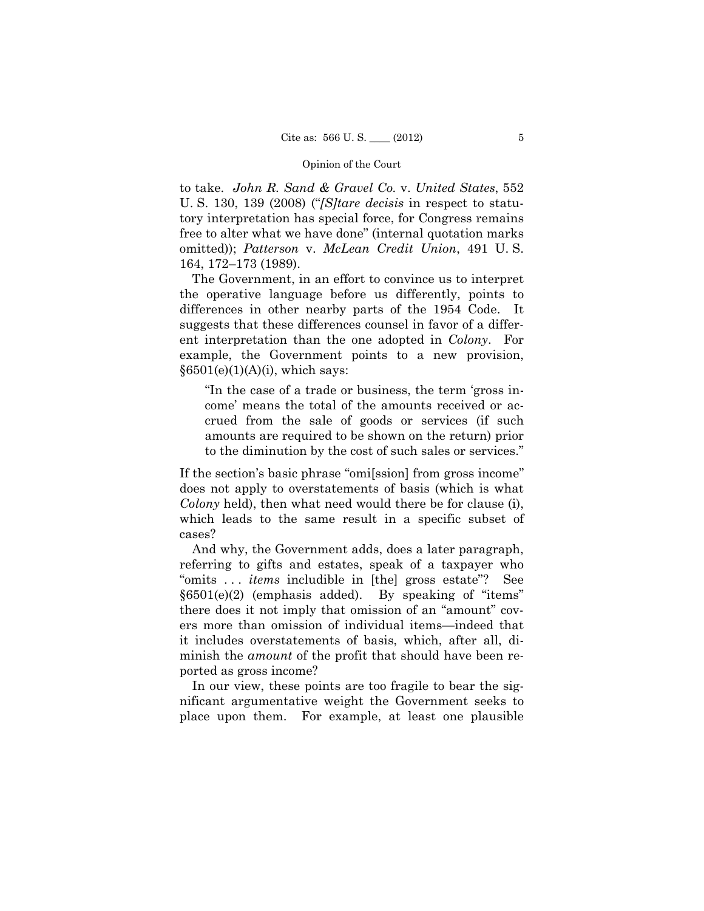to take. *John R. Sand & Gravel Co.* v. *United States*, 552 U. S. 130, 139 (2008) ("*[S]tare decisis* in respect to statutory interpretation has special force, for Congress remains free to alter what we have done" (internal quotation marks omitted)); *Patterson* v. *McLean Credit Union*, 491 U. S. 164, 172–173 (1989).

 ent interpretation than the one adopted in *Colony*. For The Government, in an effort to convince us to interpret the operative language before us differently, points to differences in other nearby parts of the 1954 Code. It suggests that these differences counsel in favor of a differexample, the Government points to a new provision,  $§6501(e)(1)(A)(i)$ , which says:

"In the case of a trade or business, the term 'gross income' means the total of the amounts received or accrued from the sale of goods or services (if such amounts are required to be shown on the return) prior to the diminution by the cost of such sales or services."

If the section's basic phrase "omi[ssion] from gross income" does not apply to overstatements of basis (which is what *Colony* held), then what need would there be for clause (i), which leads to the same result in a specific subset of cases?

And why, the Government adds, does a later paragraph, referring to gifts and estates, speak of a taxpayer who "omits . . . *items* includible in [the] gross estate"? See §6501(e)(2) (emphasis added). By speaking of "items" there does it not imply that omission of an "amount" covers more than omission of individual items—indeed that it includes overstatements of basis, which, after all, diminish the *amount* of the profit that should have been reported as gross income?

In our view, these points are too fragile to bear the significant argumentative weight the Government seeks to place upon them. For example, at least one plausible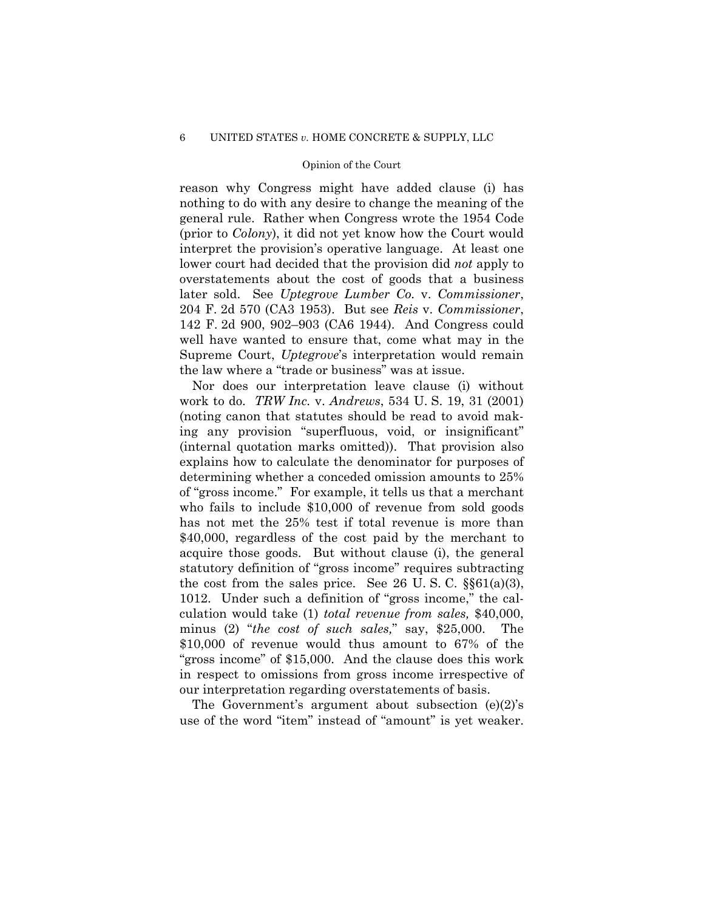reason why Congress might have added clause (i) has nothing to do with any desire to change the meaning of the general rule. Rather when Congress wrote the 1954 Code (prior to *Colony*), it did not yet know how the Court would interpret the provision's operative language. At least one lower court had decided that the provision did *not* apply to overstatements about the cost of goods that a business later sold. See *Uptegrove Lumber Co.* v. *Commissioner*, 204 F. 2d 570 (CA3 1953). But see *Reis* v. *Commissioner*, 142 F. 2d 900, 902–903 (CA6 1944). And Congress could well have wanted to ensure that, come what may in the Supreme Court, *Uptegrove*'s interpretation would remain the law where a "trade or business" was at issue.

 work to do. *TRW Inc.* v. *Andrews*, 534 U. S. 19, 31 (2001) (internal quotation marks omitted)). That provision also Nor does our interpretation leave clause (i) without (noting canon that statutes should be read to avoid making any provision "superfluous, void, or insignificant" explains how to calculate the denominator for purposes of determining whether a conceded omission amounts to 25% of "gross income." For example, it tells us that a merchant who fails to include \$10,000 of revenue from sold goods has not met the 25% test if total revenue is more than \$40,000, regardless of the cost paid by the merchant to acquire those goods. But without clause (i), the general statutory definition of "gross income" requires subtracting the cost from the sales price. See 26 U.S.C.  $\S\$ 61(a)(3), 1012. Under such a definition of "gross income," the calculation would take (1) *total revenue from sales,* \$40,000, minus (2) "*the cost of such sales,*" say, \$25,000. The \$10,000 of revenue would thus amount to 67% of the "gross income" of \$15,000. And the clause does this work in respect to omissions from gross income irrespective of our interpretation regarding overstatements of basis.

The Government's argument about subsection (e)(2)'s use of the word "item" instead of "amount" is yet weaker.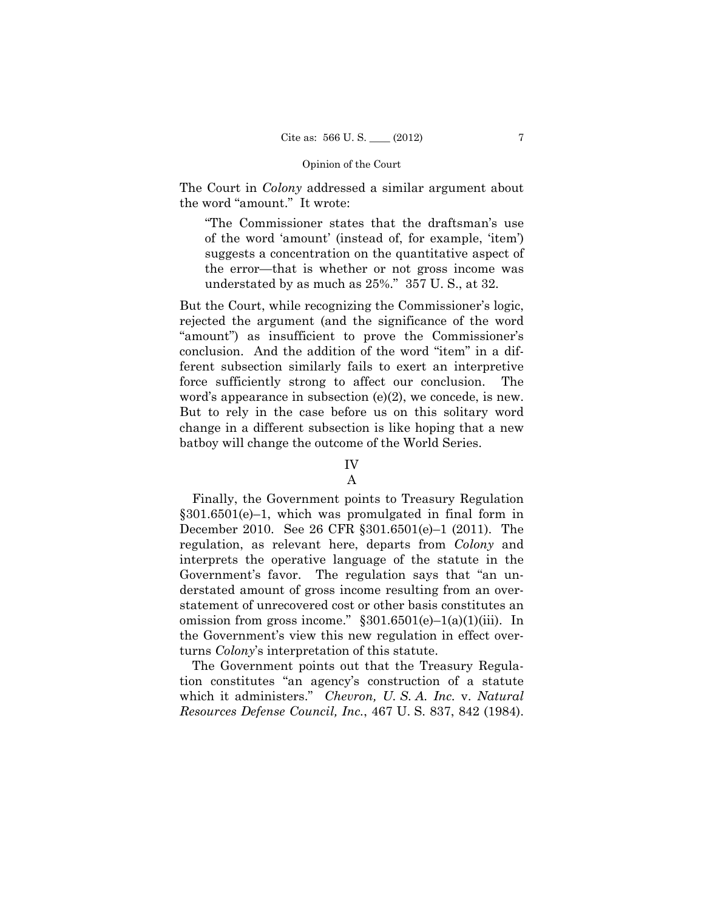The Court in *Colony* addressed a similar argument about the word "amount." It wrote:

"The Commissioner states that the draftsman's use of the word 'amount' (instead of, for example, 'item') suggests a concentration on the quantitative aspect of the error—that is whether or not gross income was understated by as much as 25%." 357 U. S., at 32.

But the Court, while recognizing the Commissioner's logic, rejected the argument (and the significance of the word "amount") as insufficient to prove the Commissioner's conclusion. And the addition of the word "item" in a different subsection similarly fails to exert an interpretive force sufficiently strong to affect our conclusion. The word's appearance in subsection (e)(2), we concede, is new. But to rely in the case before us on this solitary word change in a different subsection is like hoping that a new batboy will change the outcome of the World Series.

# IV

## A

Finally, the Government points to Treasury Regulation §301.6501(e)–1, which was promulgated in final form in December 2010. See 26 CFR §301.6501(e)–1 (2011). The regulation, as relevant here, departs from *Colony* and interprets the operative language of the statute in the Government's favor. The regulation says that "an understated amount of gross income resulting from an overstatement of unrecovered cost or other basis constitutes an omission from gross income."  $§301.6501(e) - 1(a)(1)(iii)$ . In the Government's view this new regulation in effect overturns *Colony*'s interpretation of this statute.

The Government points out that the Treasury Regulation constitutes "an agency's construction of a statute which it administers." *Chevron, U. S. A. Inc.* v. *Natural Resources Defense Council, Inc.*, 467 U. S. 837, 842 (1984).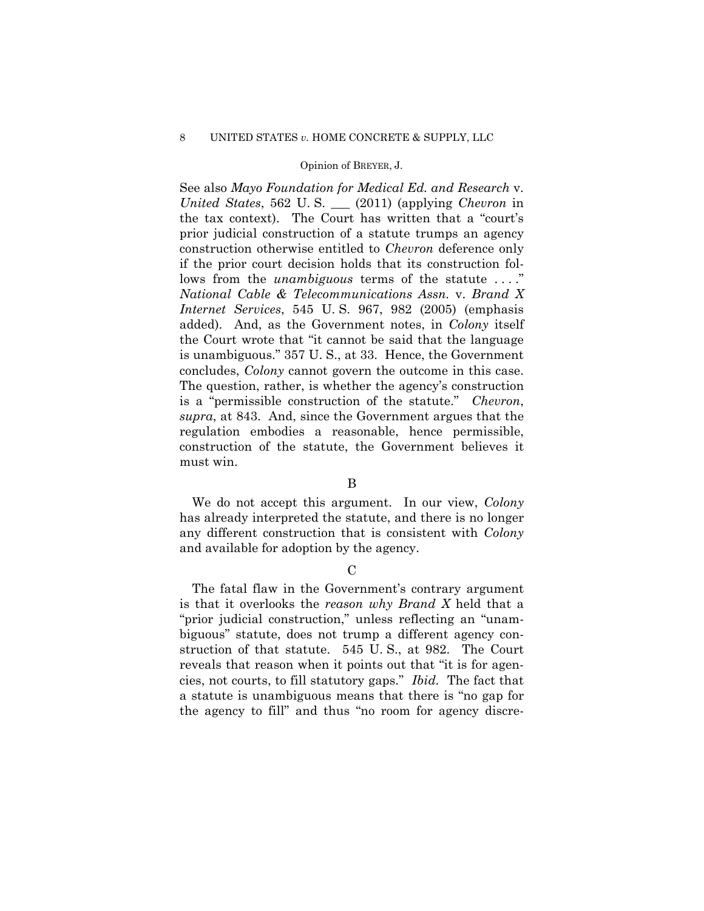## 8 UNITED STATES *v.* HOME CONCRETE & SUPPLY, LLC

## Opinion of BREYER, J.

See also *Mayo Foundation for Medical Ed. and Research* v. *United States*, 562 U. S. \_\_\_ (2011) (applying *Chevron* in the tax context). The Court has written that a "court's prior judicial construction of a statute trumps an agency construction otherwise entitled to *Chevron* deference only if the prior court decision holds that its construction follows from the *unambiguous* terms of the statute ...." *National Cable & Telecommunications Assn.* v. *Brand X Internet Services*, 545 U. S. 967, 982 (2005) (emphasis added). And, as the Government notes, in *Colony* itself the Court wrote that "it cannot be said that the language is unambiguous." 357 U. S., at 33. Hence, the Government concludes, *Colony* cannot govern the outcome in this case. The question, rather, is whether the agency's construction is a "permissible construction of the statute." *Chevron*, *supra*, at 843. And, since the Government argues that the regulation embodies a reasonable, hence permissible, construction of the statute, the Government believes it must win.

## B

We do not accept this argument. In our view, *Colony* has already interpreted the statute, and there is no longer any different construction that is consistent with *Colony*  and available for adoption by the agency.

# $\mathcal{C}$

The fatal flaw in the Government's contrary argument is that it overlooks the *reason why Brand X* held that a "prior judicial construction," unless reflecting an "unambiguous" statute, does not trump a different agency construction of that statute. 545 U. S., at 982. The Court reveals that reason when it points out that "it is for agencies, not courts, to fill statutory gaps." *Ibid.* The fact that a statute is unambiguous means that there is "no gap for the agency to fill" and thus "no room for agency discre-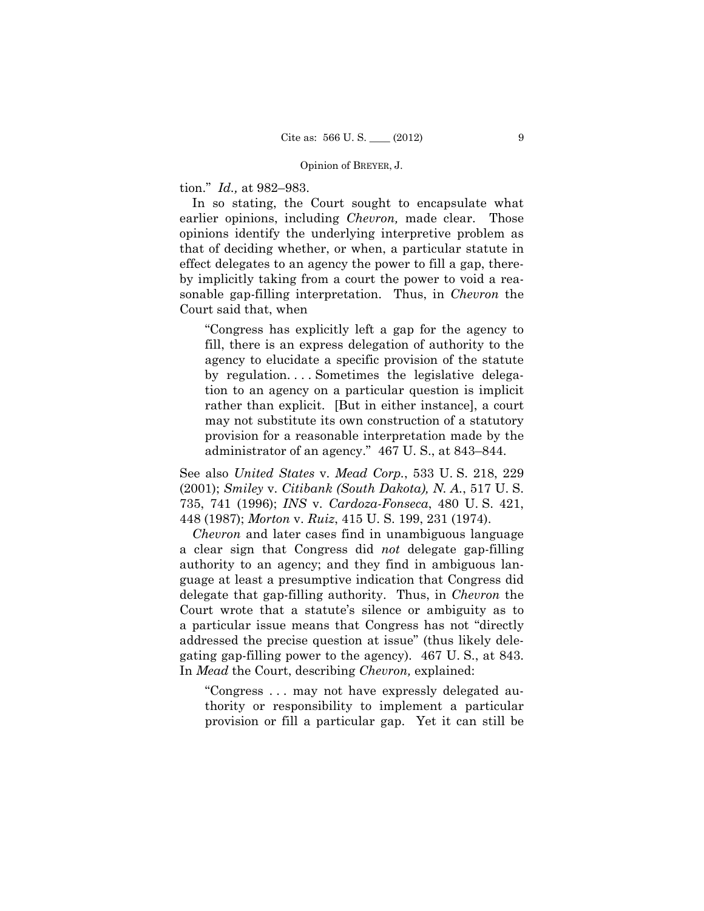#### Opinion of BREYER, J.

tion." *Id.,* at 982–983.

In so stating, the Court sought to encapsulate what earlier opinions, including *Chevron,* made clear. Those opinions identify the underlying interpretive problem as that of deciding whether, or when, a particular statute in effect delegates to an agency the power to fill a gap, thereby implicitly taking from a court the power to void a reasonable gap-filling interpretation. Thus, in *Chevron* the Court said that, when

"Congress has explicitly left a gap for the agency to fill, there is an express delegation of authority to the agency to elucidate a specific provision of the statute by regulation. . . . Sometimes the legislative delegation to an agency on a particular question is implicit rather than explicit. [But in either instance], a court may not substitute its own construction of a statutory provision for a reasonable interpretation made by the administrator of an agency." 467 U. S., at 843–844.

See also *United States* v. *Mead Corp.*, 533 U. S. 218, 229 (2001); *Smiley* v. *Citibank (South Dakota), N. A.*, 517 U. S. 735, 741 (1996); *INS* v. *Cardoza-Fonseca*, 480 U. S. 421, 448 (1987); *Morton* v. *Ruiz*, 415 U. S. 199, 231 (1974).

*Chevron* and later cases find in unambiguous language a clear sign that Congress did *not* delegate gap-filling authority to an agency; and they find in ambiguous language at least a presumptive indication that Congress did delegate that gap-filling authority. Thus, in *Chevron* the Court wrote that a statute's silence or ambiguity as to a particular issue means that Congress has not "directly addressed the precise question at issue" (thus likely delegating gap-filling power to the agency). 467 U. S., at 843. In *Mead* the Court, describing *Chevron,* explained:

"Congress . . . may not have expressly delegated authority or responsibility to implement a particular provision or fill a particular gap. Yet it can still be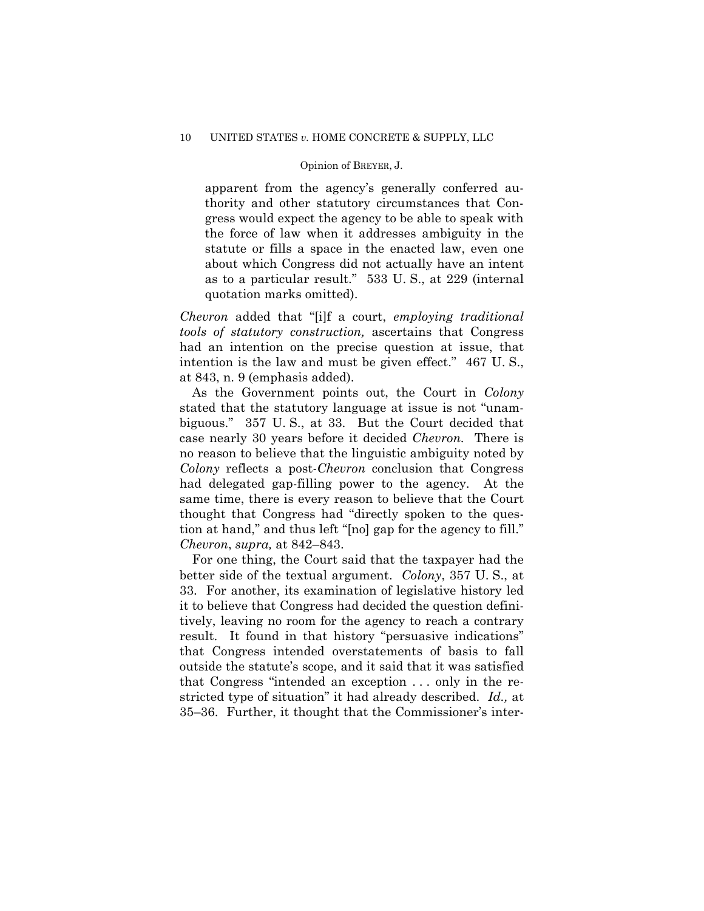#### Opinion of BREYER, J.

apparent from the agency's generally conferred authority and other statutory circumstances that Congress would expect the agency to be able to speak with the force of law when it addresses ambiguity in the statute or fills a space in the enacted law, even one about which Congress did not actually have an intent as to a particular result." 533 U. S., at 229 (internal quotation marks omitted).

*Chevron* added that "[i]f a court, *employing traditional tools of statutory construction,* ascertains that Congress had an intention on the precise question at issue, that intention is the law and must be given effect." 467 U. S., at 843, n. 9 (emphasis added).

As the Government points out, the Court in *Colony* stated that the statutory language at issue is not "unambiguous." 357 U. S., at 33. But the Court decided that case nearly 30 years before it decided *Chevron.* There is no reason to believe that the linguistic ambiguity noted by *Colony* reflects a post-*Chevron* conclusion that Congress had delegated gap-filling power to the agency. At the same time, there is every reason to believe that the Court thought that Congress had "directly spoken to the question at hand," and thus left "[no] gap for the agency to fill." *Chevron*, *supra,* at 842–843.

For one thing, the Court said that the taxpayer had the better side of the textual argument. *Colony*, 357 U. S., at 33. For another, its examination of legislative history led it to believe that Congress had decided the question definitively, leaving no room for the agency to reach a contrary result. It found in that history "persuasive indications" that Congress intended overstatements of basis to fall outside the statute's scope, and it said that it was satisfied that Congress "intended an exception . . . only in the restricted type of situation" it had already described. *Id.,* at 35–36. Further, it thought that the Commissioner's inter-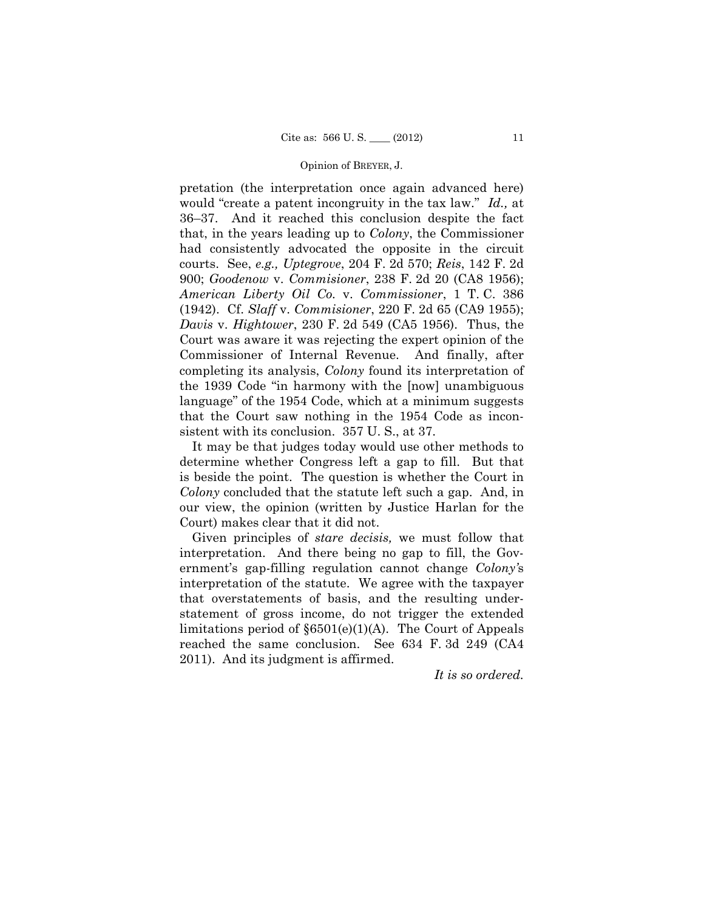#### Opinion of BREYER, J.

pretation (the interpretation once again advanced here) would "create a patent incongruity in the tax law." *Id.,* at 36–37. And it reached this conclusion despite the fact that, in the years leading up to *Colony*, the Commissioner had consistently advocated the opposite in the circuit courts. See, *e.g., Uptegrove*, 204 F. 2d 570; *Reis*, 142 F. 2d 900; *Goodenow* v. *Commisioner*, 238 F. 2d 20 (CA8 1956); *American Liberty Oil Co.* v. *Commissioner*, 1 T. C. 386 (1942). Cf. *Slaff* v. *Commisioner*, 220 F. 2d 65 (CA9 1955); *Davis* v. *Hightower*, 230 F. 2d 549 (CA5 1956). Thus, the Court was aware it was rejecting the expert opinion of the Commissioner of Internal Revenue. And finally, after completing its analysis, *Colony* found its interpretation of the 1939 Code "in harmony with the [now] unambiguous language" of the 1954 Code, which at a minimum suggests that the Court saw nothing in the 1954 Code as inconsistent with its conclusion. 357 U. S., at 37.

It may be that judges today would use other methods to determine whether Congress left a gap to fill. But that is beside the point. The question is whether the Court in *Colony* concluded that the statute left such a gap. And, in our view, the opinion (written by Justice Harlan for the Court) makes clear that it did not.

Given principles of *stare decisis,* we must follow that interpretation. And there being no gap to fill, the Government's gap-filling regulation cannot change *Colony'*s interpretation of the statute. We agree with the taxpayer that overstatements of basis, and the resulting understatement of gross income, do not trigger the extended limitations period of §6501(e)(1)(A). The Court of Appeals reached the same conclusion. See 634 F. 3d 249 (CA4 2011). And its judgment is affirmed.

*It is so ordered.*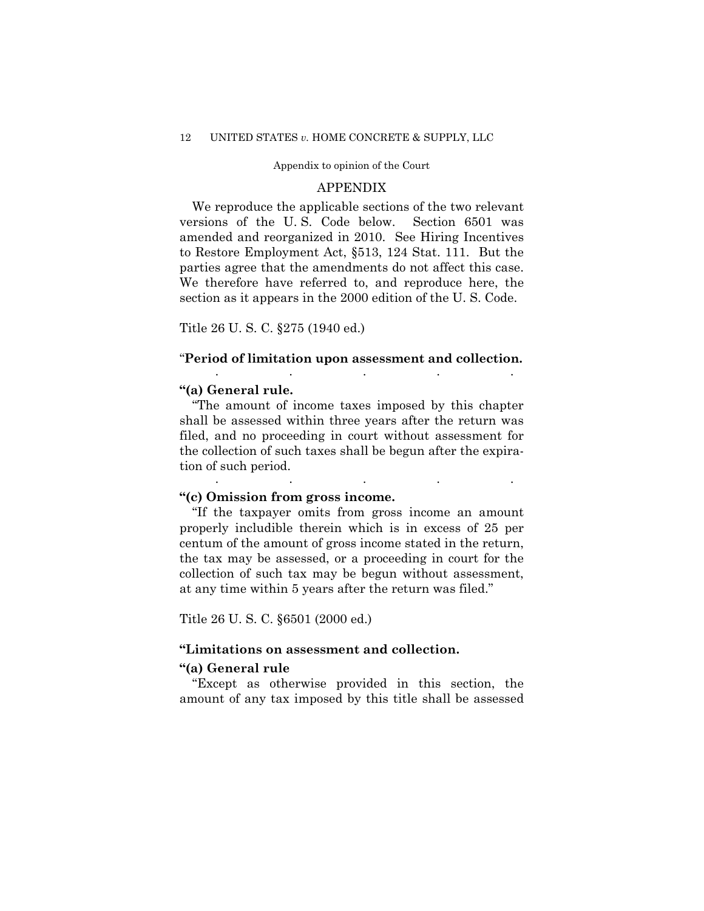### Appendix to opinion of the Court

## APPENDIX

We reproduce the applicable sections of the two relevant versions of the U. S. Code below. Section 6501 was amended and reorganized in 2010. See Hiring Incentives to Restore Employment Act, §513, 124 Stat. 111. But the parties agree that the amendments do not affect this case. We therefore have referred to, and reproduce here, the section as it appears in the 2000 edition of the U. S. Code.

Title 26 U. S. C. §275 (1940 ed.)

## "**Period of limitation upon assessment and collection.**

. . . . .

. . . . .

## **"(a) General rule.**

"The amount of income taxes imposed by this chapter shall be assessed within three years after the return was filed, and no proceeding in court without assessment for the collection of such taxes shall be begun after the expiration of such period.

## **"(c) Omission from gross income.**

"If the taxpayer omits from gross income an amount properly includible therein which is in excess of 25 per centum of the amount of gross income stated in the return, the tax may be assessed, or a proceeding in court for the collection of such tax may be begun without assessment, at any time within 5 years after the return was filed."

Title 26 U. S. C. §6501 (2000 ed.)

## **"Limitations on assessment and collection.**

## **"(a) General rule**

"Except as otherwise provided in this section, the amount of any tax imposed by this title shall be assessed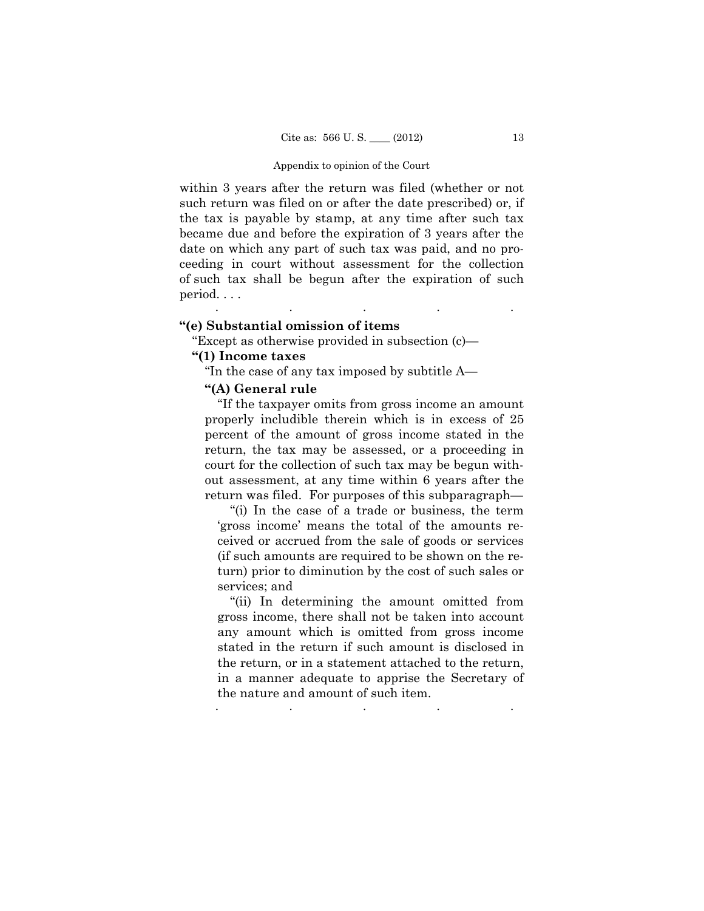#### Appendix to opinion of the Court

within 3 years after the return was filed (whether or not such return was filed on or after the date prescribed) or, if the tax is payable by stamp, at any time after such tax became due and before the expiration of 3 years after the date on which any part of such tax was paid, and no proceeding in court without assessment for the collection of such tax shall be begun after the expiration of such period. . . . . . . . .

## **"(e) Substantial omission of items**

"Except as otherwise provided in subsection (c)—

# **"(1) Income taxes**

"In the case of any tax imposed by subtitle A—

## **"(A) General rule**

"If the taxpayer omits from gross income an amount properly includible therein which is in excess of 25 percent of the amount of gross income stated in the return, the tax may be assessed, or a proceeding in court for the collection of such tax may be begun without assessment, at any time within 6 years after the return was filed. For purposes of this subparagraph—

"(i) In the case of a trade or business, the term 'gross income' means the total of the amounts received or accrued from the sale of goods or services (if such amounts are required to be shown on the return) prior to diminution by the cost of such sales or services; and

"(ii) In determining the amount omitted from gross income, there shall not be taken into account any amount which is omitted from gross income stated in the return if such amount is disclosed in the return, or in a statement attached to the return, in a manner adequate to apprise the Secretary of the nature and amount of such item.

. The simulation of the simulation of the simulation of the simulation of the simulation of the simulation of the simulation of the simulation of the simulation of the simulation of the simulation of the simulation of the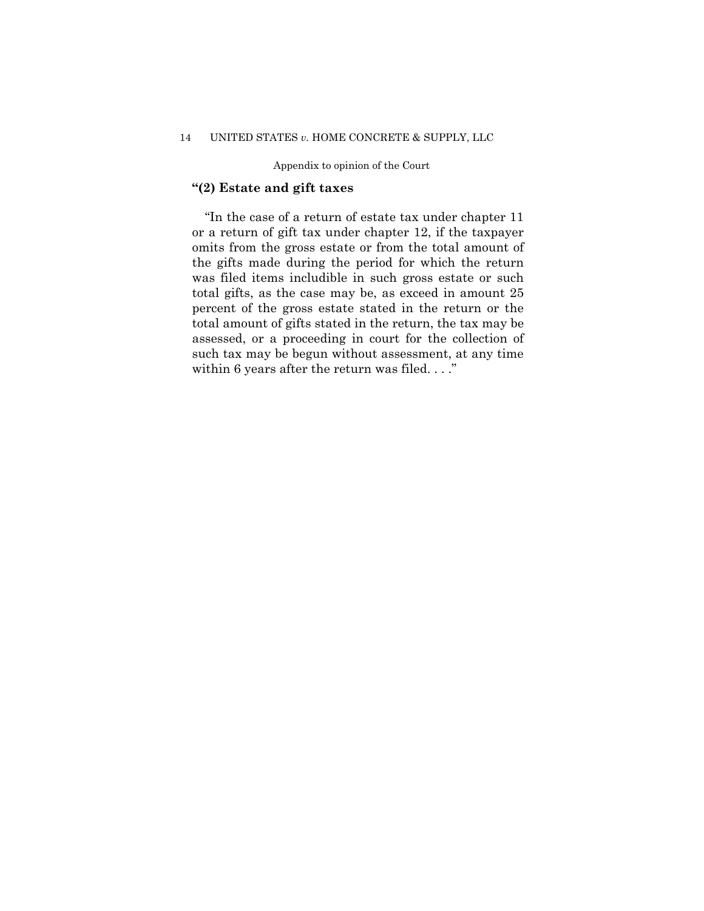## 14 UNITED STATES *v.* HOME CONCRETE & SUPPLY, LLC

Appendix to opinion of the Court

# **"(2) Estate and gift taxes**

 the gifts made during the period for which the return "In the case of a return of estate tax under chapter 11 or a return of gift tax under chapter 12, if the taxpayer omits from the gross estate or from the total amount of was filed items includible in such gross estate or such total gifts, as the case may be, as exceed in amount 25 percent of the gross estate stated in the return or the total amount of gifts stated in the return, the tax may be assessed, or a proceeding in court for the collection of such tax may be begun without assessment, at any time within 6 years after the return was filed. . . ."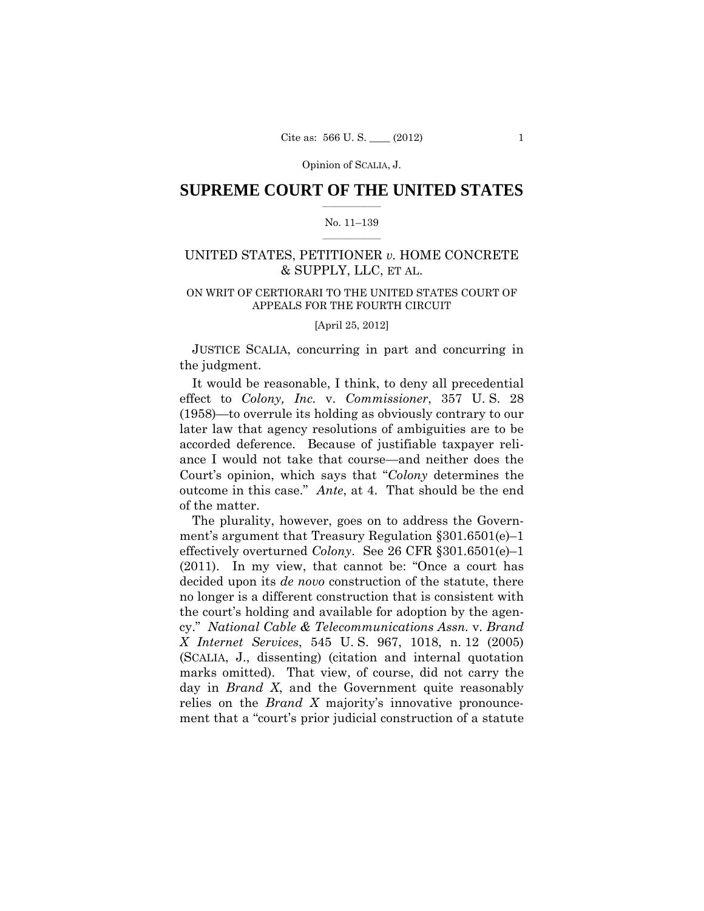## $\frac{1}{2}$  ,  $\frac{1}{2}$  ,  $\frac{1}{2}$  ,  $\frac{1}{2}$  ,  $\frac{1}{2}$  ,  $\frac{1}{2}$  ,  $\frac{1}{2}$ **SUPREME COURT OF THE UNITED STATES**

## $\frac{1}{2}$  ,  $\frac{1}{2}$  ,  $\frac{1}{2}$  ,  $\frac{1}{2}$  ,  $\frac{1}{2}$  ,  $\frac{1}{2}$ No. 11–139

# UNITED STATES, PETITIONER *v.* HOME CONCRETE & SUPPLY, LLC, ET AL.

# ON WRIT OF CERTIORARI TO THE UNITED STATES COURT OF APPEALS FOR THE FOURTH CIRCUIT

[April 25, 2012]

JUSTICE SCALIA, concurring in part and concurring in the judgment.

It would be reasonable, I think, to deny all precedential effect to *Colony, Inc.* v. *Commissioner*, 357 U. S. 28 (1958)—to overrule its holding as obviously contrary to our later law that agency resolutions of ambiguities are to be accorded deference. Because of justifiable taxpayer reliance I would not take that course—and neither does the Court's opinion, which says that "*Colony* determines the outcome in this case." *Ante*, at 4. That should be the end of the matter.

The plurality, however, goes on to address the Government's argument that Treasury Regulation §301.6501(e)–1 effectively overturned *Colony*. See 26 CFR §301.6501(e)–1 (2011). In my view, that cannot be: "Once a court has decided upon its *de novo* construction of the statute, there no longer is a different construction that is consistent with the court's holding and available for adoption by the agency." *National Cable & Telecommunications Assn.* v. *Brand X Internet Services*, 545 U. S. 967, 1018, n. 12 (2005) (SCALIA, J., dissenting) (citation and internal quotation marks omitted). That view, of course, did not carry the day in *Brand X*, and the Government quite reasonably relies on the *Brand X* majority's innovative pronouncement that a "court's prior judicial construction of a statute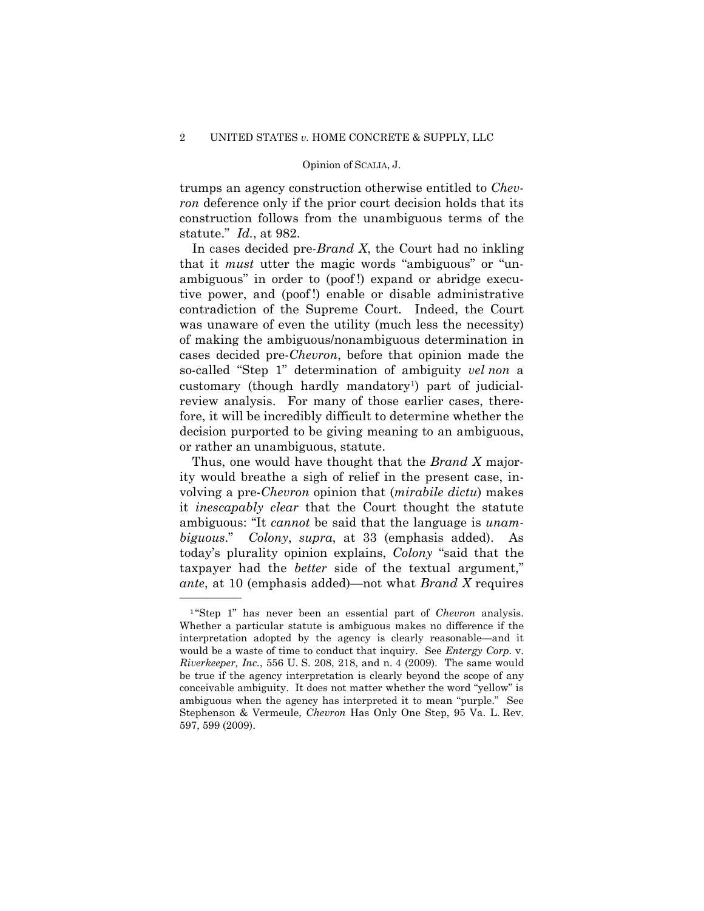trumps an agency construction otherwise entitled to *Chevron* deference only if the prior court decision holds that its construction follows from the unambiguous terms of the statute." *Id.*, at 982.

In cases decided pre-*Brand X*, the Court had no inkling that it *must* utter the magic words "ambiguous" or "unambiguous" in order to (poof !) expand or abridge executive power, and (poof !) enable or disable administrative contradiction of the Supreme Court. Indeed, the Court was unaware of even the utility (much less the necessity) of making the ambiguous/nonambiguous determination in cases decided pre-*Chevron*, before that opinion made the so-called "Step 1" determination of ambiguity *vel non* a customary (though hardly mandatory1) part of judicialreview analysis. For many of those earlier cases, therefore, it will be incredibly difficult to determine whether the decision purported to be giving meaning to an ambiguous, or rather an unambiguous, statute.

Thus, one would have thought that the *Brand X* majority would breathe a sigh of relief in the present case, involving a pre-*Chevron* opinion that (*mirabile dictu*) makes it *inescapably clear* that the Court thought the statute ambiguous: "It *cannot* be said that the language is *unambiguous*." *Colony*, *supra*, at 33 (emphasis added). As today's plurality opinion explains, *Colony* "said that the taxpayer had the *better* side of the textual argument," *ante*, at 10 (emphasis added)—not what *Brand X* requires

——————

 <sup>1</sup> "Step 1" has never been an essential part of *Chevron* analysis. Whether a particular statute is ambiguous makes no difference if the interpretation adopted by the agency is clearly reasonable—and it would be a waste of time to conduct that inquiry. See *Entergy Corp.* v. *Riverkeeper, Inc.*, 556 U. S. 208, 218, and n. 4 (2009). The same would be true if the agency interpretation is clearly beyond the scope of any conceivable ambiguity. It does not matter whether the word "yellow" is ambiguous when the agency has interpreted it to mean "purple." See Stephenson & Vermeule, *Chevron* Has Only One Step, 95 Va. L. Rev. 597, 599 (2009).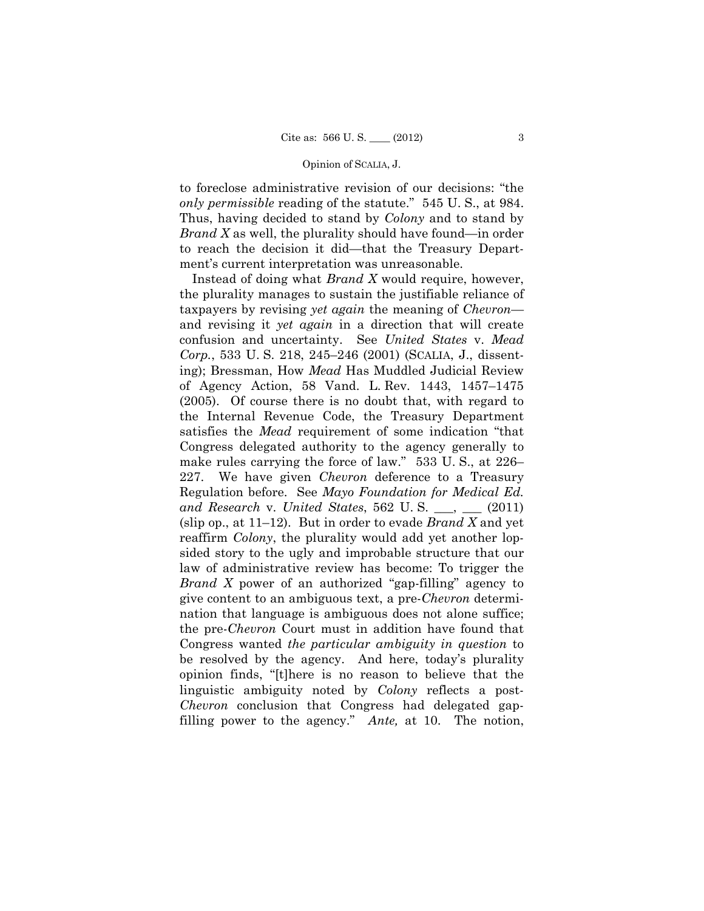to foreclose administrative revision of our decisions: "the *only permissible* reading of the statute." 545 U. S., at 984. Thus, having decided to stand by *Colony* and to stand by *Brand X* as well, the plurality should have found—in order to reach the decision it did—that the Treasury Department's current interpretation was unreasonable.

Instead of doing what *Brand X* would require, however, the plurality manages to sustain the justifiable reliance of taxpayers by revising *yet again* the meaning of *Chevron* and revising it *yet again* in a direction that will create confusion and uncertainty. See *United States* v. *Mead Corp.*, 533 U. S. 218, 245–246 (2001) (SCALIA, J., dissenting); Bressman, How *Mead* Has Muddled Judicial Review of Agency Action, 58 Vand. L. Rev. 1443, 1457–1475 (2005). Of course there is no doubt that, with regard to the Internal Revenue Code, the Treasury Department satisfies the *Mead* requirement of some indication "that Congress delegated authority to the agency generally to make rules carrying the force of law." 533 U. S., at 226– 227. We have given *Chevron* deference to a Treasury Regulation before. See *Mayo Foundation for Medical Ed. and Research* v. *United States*, 562 U. S. \_\_\_, \_\_\_ (2011) (slip op., at 11–12). But in order to evade *Brand X* and yet reaffirm *Colony*, the plurality would add yet another lopsided story to the ugly and improbable structure that our law of administrative review has become: To trigger the *Brand X* power of an authorized "gap-filling" agency to give content to an ambiguous text, a pre-*Chevron* determination that language is ambiguous does not alone suffice; the pre-*Chevron* Court must in addition have found that Congress wanted *the particular ambiguity in question* to be resolved by the agency. And here, today's plurality opinion finds, "[t]here is no reason to believe that the linguistic ambiguity noted by *Colony* reflects a post-*Chevron* conclusion that Congress had delegated gapfilling power to the agency." *Ante,* at 10. The notion,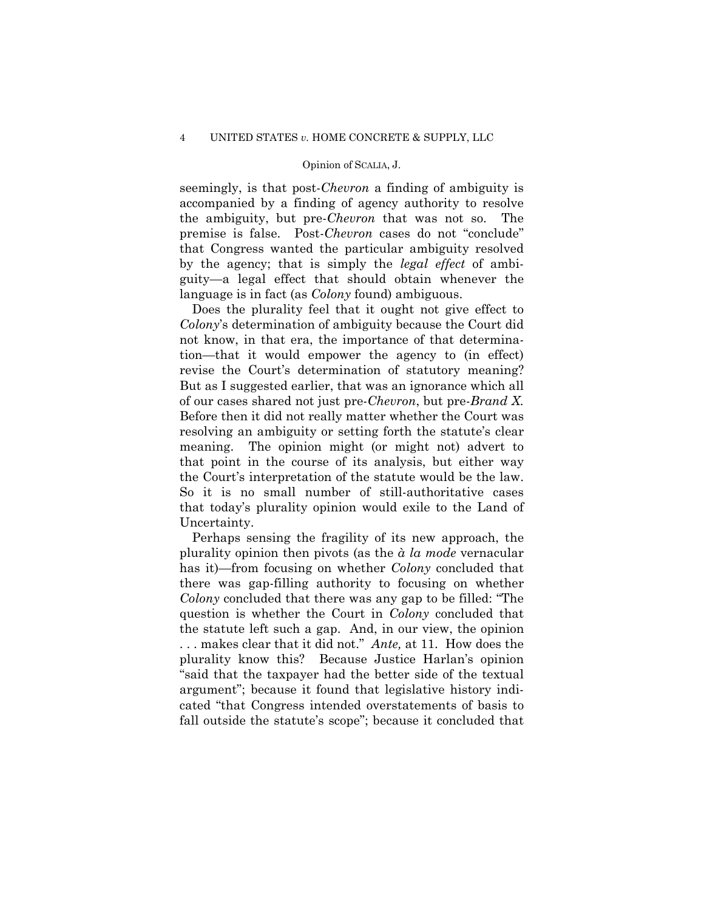seemingly, is that post-*Chevron* a finding of ambiguity is accompanied by a finding of agency authority to resolve the ambiguity, but pre-*Chevron* that was not so. The premise is false. Post-*Chevron* cases do not "conclude" that Congress wanted the particular ambiguity resolved by the agency; that is simply the *legal effect* of ambiguity—a legal effect that should obtain whenever the language is in fact (as *Colony* found) ambiguous.

 the Court's interpretation of the statute would be the law. Does the plurality feel that it ought not give effect to *Colony*'s determination of ambiguity because the Court did not know, in that era, the importance of that determination—that it would empower the agency to (in effect) revise the Court's determination of statutory meaning? But as I suggested earlier, that was an ignorance which all of our cases shared not just pre-*Chevron*, but pre-*Brand X.* Before then it did not really matter whether the Court was resolving an ambiguity or setting forth the statute's clear meaning. The opinion might (or might not) advert to that point in the course of its analysis, but either way So it is no small number of still-authoritative cases that today's plurality opinion would exile to the Land of Uncertainty.

 . . . makes clear that it did not." *Ante,* at 11. How does the Perhaps sensing the fragility of its new approach, the plurality opinion then pivots (as the *à la mode* vernacular has it)—from focusing on whether *Colony* concluded that there was gap-filling authority to focusing on whether *Colony* concluded that there was any gap to be filled: "The question is whether the Court in *Colony* concluded that the statute left such a gap. And, in our view, the opinion plurality know this? Because Justice Harlan's opinion "said that the taxpayer had the better side of the textual argument"; because it found that legislative history indicated "that Congress intended overstatements of basis to fall outside the statute's scope"; because it concluded that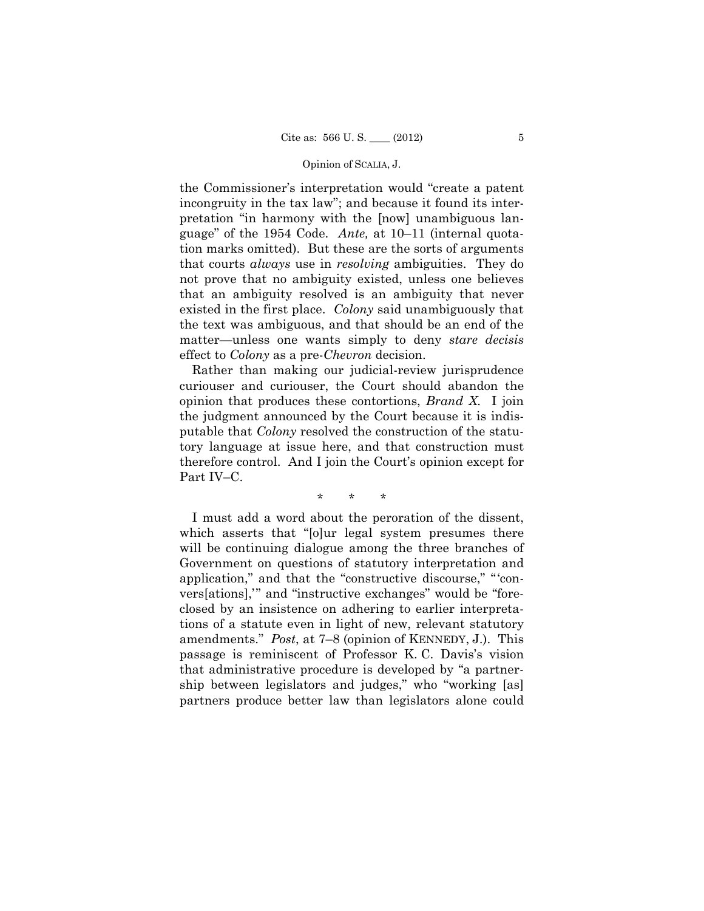the Commissioner's interpretation would "create a patent incongruity in the tax law"; and because it found its interpretation "in harmony with the [now] unambiguous language" of the 1954 Code. *Ante,* at 10–11 (internal quotation marks omitted). But these are the sorts of arguments that courts *always* use in *resolving* ambiguities. They do not prove that no ambiguity existed, unless one believes that an ambiguity resolved is an ambiguity that never existed in the first place. *Colony* said unambiguously that the text was ambiguous, and that should be an end of the matter—unless one wants simply to deny *stare decisis*  effect to *Colony* as a pre-*Chevron* decision.

Rather than making our judicial-review jurisprudence curiouser and curiouser, the Court should abandon the opinion that produces these contortions, *Brand X.* I join the judgment announced by the Court because it is indisputable that *Colony* resolved the construction of the statutory language at issue here, and that construction must therefore control. And I join the Court's opinion except for Part IV–C.

\* \* \*

I must add a word about the peroration of the dissent, which asserts that "[o]ur legal system presumes there will be continuing dialogue among the three branches of Government on questions of statutory interpretation and application," and that the "constructive discourse," "'convers[ations],'" and "instructive exchanges" would be "foreclosed by an insistence on adhering to earlier interpretations of a statute even in light of new, relevant statutory amendments." *Post*, at 7–8 (opinion of KENNEDY, J.). This passage is reminiscent of Professor K. C. Davis's vision that administrative procedure is developed by "a partnership between legislators and judges," who "working [as] partners produce better law than legislators alone could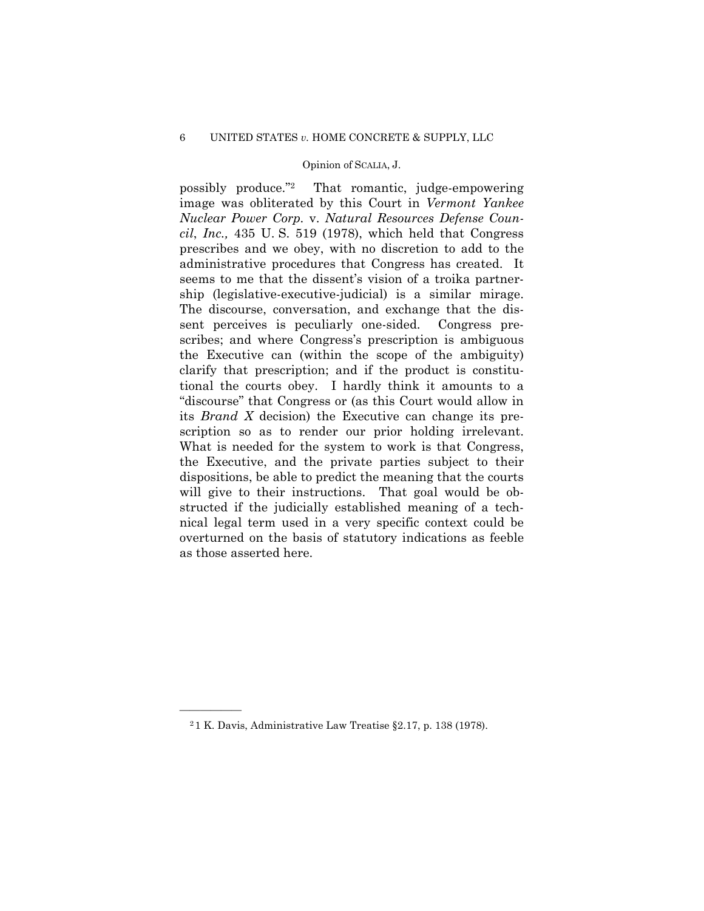possibly produce."2 That romantic, judge-empowering image was obliterated by this Court in *Vermont Yankee Nuclear Power Corp.* v. *Natural Resources Defense Council*, *Inc.,* 435 U. S. 519 (1978), which held that Congress prescribes and we obey, with no discretion to add to the administrative procedures that Congress has created. It seems to me that the dissent's vision of a troika partnership (legislative-executive-judicial) is a similar mirage. The discourse, conversation, and exchange that the dissent perceives is peculiarly one-sided. Congress prescribes; and where Congress's prescription is ambiguous the Executive can (within the scope of the ambiguity) clarify that prescription; and if the product is constitutional the courts obey. I hardly think it amounts to a "discourse" that Congress or (as this Court would allow in its *Brand X* decision) the Executive can change its prescription so as to render our prior holding irrelevant. What is needed for the system to work is that Congress, the Executive, and the private parties subject to their dispositions, be able to predict the meaning that the courts will give to their instructions. That goal would be obstructed if the judicially established meaning of a technical legal term used in a very specific context could be overturned on the basis of statutory indications as feeble as those asserted here.

——————

<sup>2</sup> 1 K. Davis, Administrative Law Treatise §2.17, p. 138 (1978).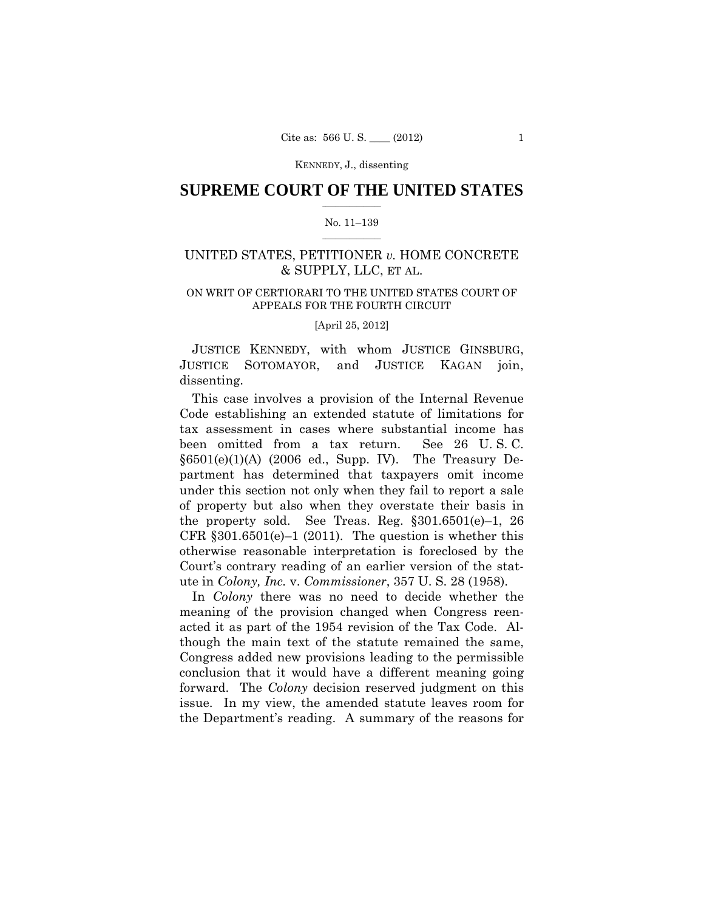## $\frac{1}{2}$  ,  $\frac{1}{2}$  ,  $\frac{1}{2}$  ,  $\frac{1}{2}$  ,  $\frac{1}{2}$  ,  $\frac{1}{2}$  ,  $\frac{1}{2}$ **SUPREME COURT OF THE UNITED STATES**

## $\frac{1}{2}$  ,  $\frac{1}{2}$  ,  $\frac{1}{2}$  ,  $\frac{1}{2}$  ,  $\frac{1}{2}$  ,  $\frac{1}{2}$ No. 11–139

# UNITED STATES, PETITIONER *v.* HOME CONCRETE & SUPPLY, LLC, ET AL.

# ON WRIT OF CERTIORARI TO THE UNITED STATES COURT OF APPEALS FOR THE FOURTH CIRCUIT

[April 25, 2012]

JUSTICE KENNEDY, with whom JUSTICE GINSBURG, JUSTICE SOTOMAYOR, and JUSTICE KAGAN join, dissenting.

This case involves a provision of the Internal Revenue Code establishing an extended statute of limitations for tax assessment in cases where substantial income has been omitted from a tax return. See 26 U. S. C.  $§6501(e)(1)(A)$  (2006 ed., Supp. IV). The Treasury Department has determined that taxpayers omit income under this section not only when they fail to report a sale of property but also when they overstate their basis in the property sold. See Treas. Reg.  $\S 301.6501(e) - 1$ , 26 CFR  $§301.6501(e)-1(2011)$ . The question is whether this otherwise reasonable interpretation is foreclosed by the Court's contrary reading of an earlier version of the statute in *Colony, Inc.* v. *Commissioner*, 357 U. S. 28 (1958).

In *Colony* there was no need to decide whether the meaning of the provision changed when Congress reenacted it as part of the 1954 revision of the Tax Code. Although the main text of the statute remained the same, Congress added new provisions leading to the permissible conclusion that it would have a different meaning going forward. The *Colony* decision reserved judgment on this issue. In my view, the amended statute leaves room for the Department's reading. A summary of the reasons for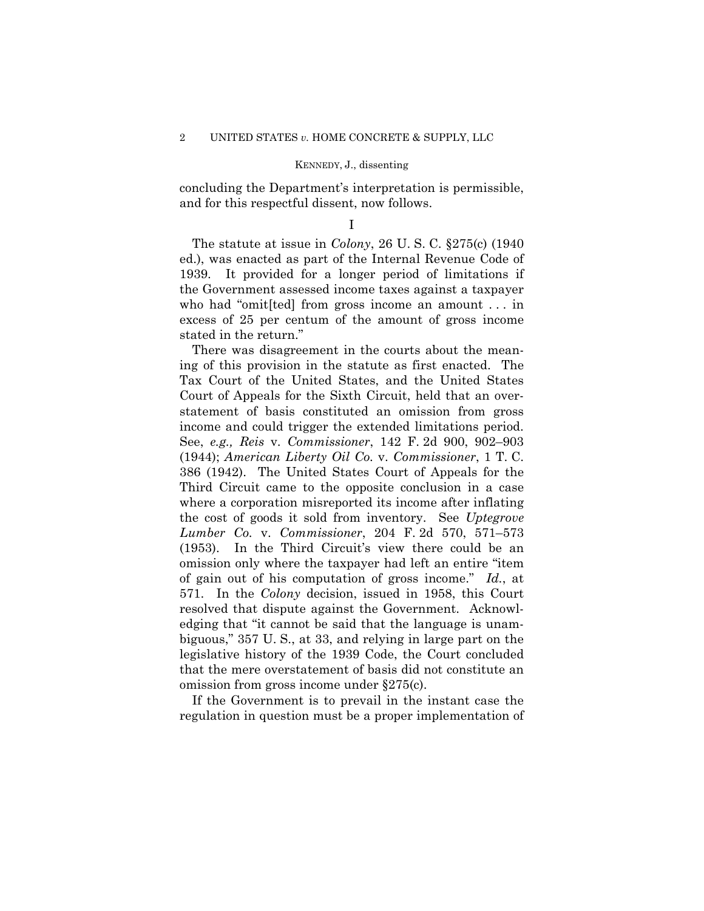concluding the Department's interpretation is permissible, and for this respectful dissent, now follows.

## I

The statute at issue in *Colony*, 26 U. S. C. §275(c) (1940 ed.), was enacted as part of the Internal Revenue Code of 1939. It provided for a longer period of limitations if the Government assessed income taxes against a taxpayer who had "omit[ted] from gross income an amount . . . in excess of 25 per centum of the amount of gross income stated in the return."

 income and could trigger the extended limitations period. There was disagreement in the courts about the meaning of this provision in the statute as first enacted. The Tax Court of the United States, and the United States Court of Appeals for the Sixth Circuit, held that an overstatement of basis constituted an omission from gross See, *e.g., Reis* v. *Commissioner*, 142 F. 2d 900, 902–903 (1944); *American Liberty Oil Co.* v. *Commissioner*, 1 T. C. 386 (1942). The United States Court of Appeals for the Third Circuit came to the opposite conclusion in a case where a corporation misreported its income after inflating the cost of goods it sold from inventory. See *Uptegrove Lumber Co.* v. *Commissioner*, 204 F. 2d 570, 571–573 (1953). In the Third Circuit's view there could be an omission only where the taxpayer had left an entire "item of gain out of his computation of gross income." *Id.*, at 571. In the *Colony* decision, issued in 1958, this Court resolved that dispute against the Government. Acknowledging that "it cannot be said that the language is unambiguous," 357 U. S., at 33, and relying in large part on the legislative history of the 1939 Code, the Court concluded that the mere overstatement of basis did not constitute an omission from gross income under §275(c).

If the Government is to prevail in the instant case the regulation in question must be a proper implementation of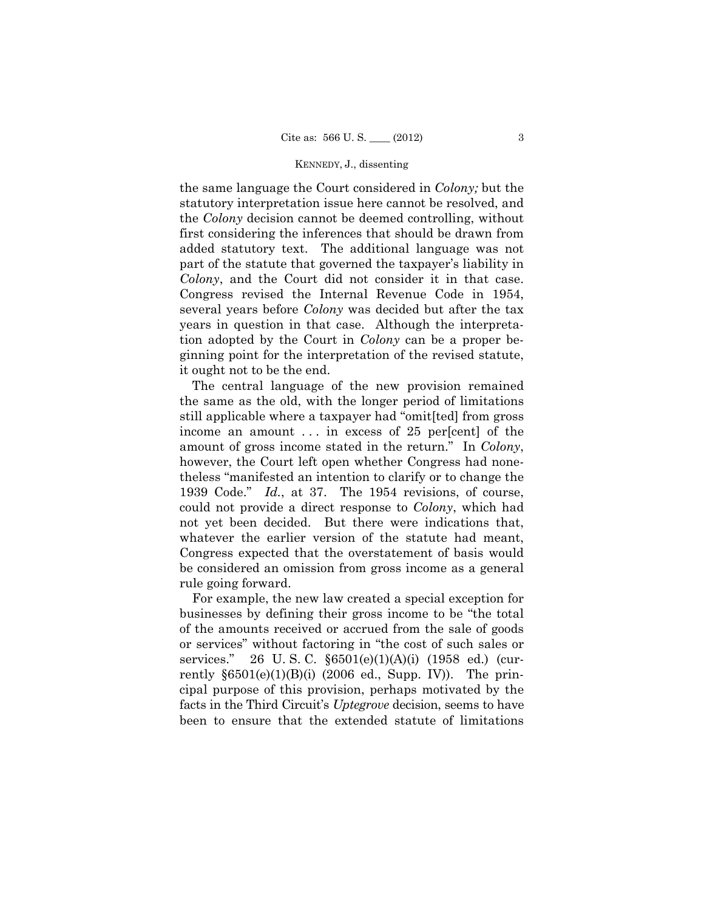the same language the Court considered in *Colony;* but the statutory interpretation issue here cannot be resolved, and the *Colony* decision cannot be deemed controlling, without first considering the inferences that should be drawn from added statutory text. The additional language was not part of the statute that governed the taxpayer's liability in *Colony*, and the Court did not consider it in that case. Congress revised the Internal Revenue Code in 1954, several years before *Colony* was decided but after the tax years in question in that case. Although the interpretation adopted by the Court in *Colony* can be a proper beginning point for the interpretation of the revised statute, it ought not to be the end.

The central language of the new provision remained the same as the old, with the longer period of limitations still applicable where a taxpayer had "omit[ted] from gross income an amount ... in excess of 25 per[cent] of the amount of gross income stated in the return." In *Colony*, however, the Court left open whether Congress had nonetheless "manifested an intention to clarify or to change the 1939 Code." *Id.*, at 37. The 1954 revisions, of course, could not provide a direct response to *Colony*, which had not yet been decided. But there were indications that, whatever the earlier version of the statute had meant, Congress expected that the overstatement of basis would be considered an omission from gross income as a general rule going forward.

For example, the new law created a special exception for businesses by defining their gross income to be "the total of the amounts received or accrued from the sale of goods or services" without factoring in "the cost of such sales or services." 26 U.S.C.  $$6501(e)(1)(A)(i)$  (1958 ed.) (currently  $\S6501(e)(1)(B)(i)$  (2006 ed., Supp. IV)). The principal purpose of this provision, perhaps motivated by the facts in the Third Circuit's *Uptegrove* decision, seems to have been to ensure that the extended statute of limitations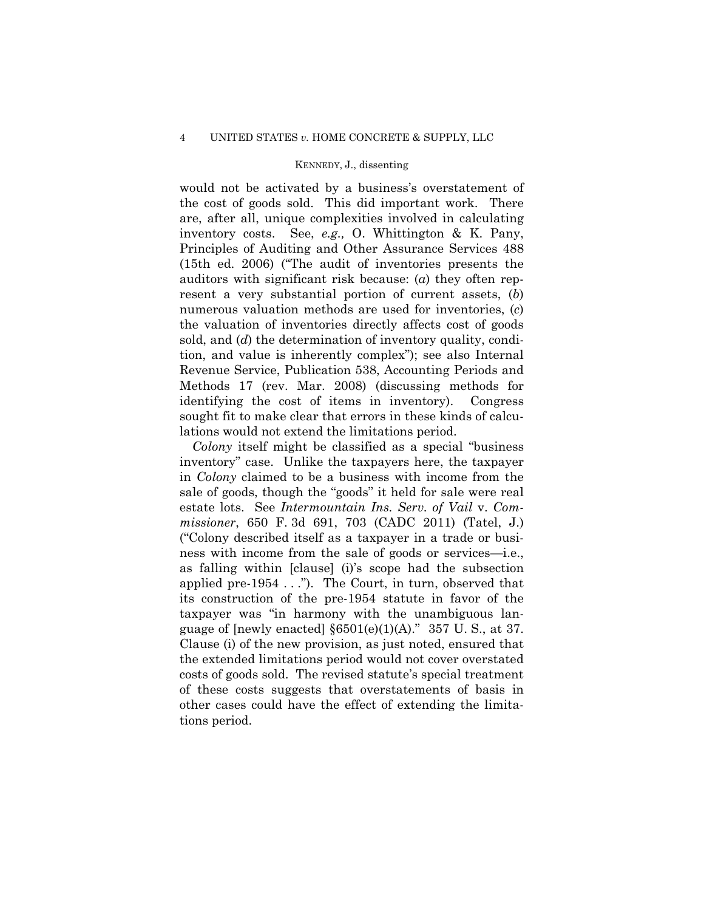would not be activated by a business's overstatement of the cost of goods sold. This did important work. There are, after all, unique complexities involved in calculating inventory costs. See, *e.g.,* O. Whittington & K. Pany, Principles of Auditing and Other Assurance Services 488 (15th ed. 2006) ("The audit of inventories presents the auditors with significant risk because: (*a*) they often represent a very substantial portion of current assets, (*b*) numerous valuation methods are used for inventories, (*c*) the valuation of inventories directly affects cost of goods sold, and (*d*) the determination of inventory quality, condition, and value is inherently complex"); see also Internal Revenue Service, Publication 538, Accounting Periods and Methods 17 (rev. Mar. 2008) (discussing methods for identifying the cost of items in inventory). Congress sought fit to make clear that errors in these kinds of calculations would not extend the limitations period.

applied pre-1954 . . ."). The Court, in turn, observed that *Colony* itself might be classified as a special "business inventory" case. Unlike the taxpayers here, the taxpayer in *Colony* claimed to be a business with income from the sale of goods, though the "goods" it held for sale were real estate lots. See *Intermountain Ins. Serv. of Vail* v. *Commissioner*, 650 F. 3d 691, 703 (CADC 2011) (Tatel, J.) ("Colony described itself as a taxpayer in a trade or business with income from the sale of goods or services—i.e., as falling within [clause] (i)'s scope had the subsection its construction of the pre-1954 statute in favor of the taxpayer was "in harmony with the unambiguous language of [newly enacted]  $\S 6501(e)(1)(A)$ ." 357 U.S., at 37. Clause (i) of the new provision, as just noted, ensured that the extended limitations period would not cover overstated costs of goods sold. The revised statute's special treatment of these costs suggests that overstatements of basis in other cases could have the effect of extending the limitations period.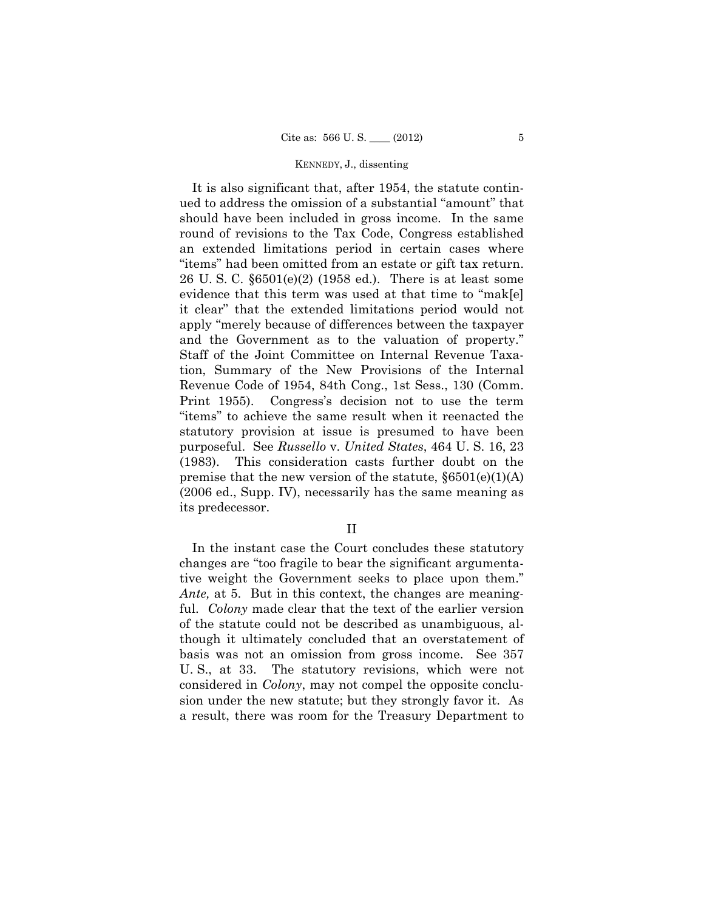It is also significant that, after 1954, the statute continued to address the omission of a substantial "amount" that should have been included in gross income. In the same round of revisions to the Tax Code, Congress established an extended limitations period in certain cases where "items" had been omitted from an estate or gift tax return. 26 U. S. C. §6501(e)(2) (1958 ed.). There is at least some evidence that this term was used at that time to "mak[e] it clear" that the extended limitations period would not apply "merely because of differences between the taxpayer and the Government as to the valuation of property." Staff of the Joint Committee on Internal Revenue Taxation, Summary of the New Provisions of the Internal Revenue Code of 1954, 84th Cong., 1st Sess., 130 (Comm. Print 1955). Congress's decision not to use the term "items" to achieve the same result when it reenacted the statutory provision at issue is presumed to have been purposeful. See *Russello* v. *United States*, 464 U. S. 16, 23 (1983). This consideration casts further doubt on the premise that the new version of the statute,  $\S6501(e)(1)(A)$ (2006 ed., Supp. IV), necessarily has the same meaning as its predecessor.

II

In the instant case the Court concludes these statutory changes are "too fragile to bear the significant argumentative weight the Government seeks to place upon them." *Ante,* at 5. But in this context, the changes are meaningful. *Colony* made clear that the text of the earlier version of the statute could not be described as unambiguous, although it ultimately concluded that an overstatement of basis was not an omission from gross income. See 357 U. S., at 33. The statutory revisions, which were not considered in *Colony*, may not compel the opposite conclusion under the new statute; but they strongly favor it. As a result, there was room for the Treasury Department to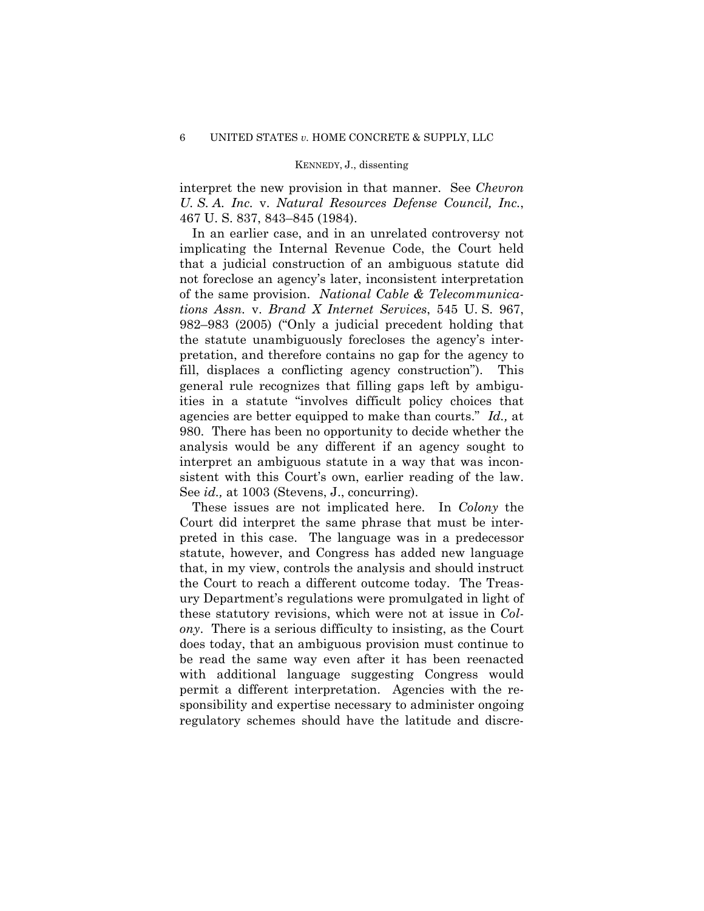interpret the new provision in that manner. See *Chevron U. S. A. Inc.* v. *Natural Resources Defense Council, Inc.*, 467 U. S. 837, 843–845 (1984).

In an earlier case, and in an unrelated controversy not implicating the Internal Revenue Code, the Court held that a judicial construction of an ambiguous statute did not foreclose an agency's later, inconsistent interpretation of the same provision. *National Cable & Telecommunications Assn.* v. *Brand X Internet Services*, 545 U. S. 967, 982–983 (2005) ("Only a judicial precedent holding that the statute unambiguously forecloses the agency's interpretation, and therefore contains no gap for the agency to fill, displaces a conflicting agency construction"). This general rule recognizes that filling gaps left by ambiguities in a statute "involves difficult policy choices that agencies are better equipped to make than courts." *Id.,* at 980. There has been no opportunity to decide whether the analysis would be any different if an agency sought to interpret an ambiguous statute in a way that was inconsistent with this Court's own, earlier reading of the law. See *id.,* at 1003 (Stevens, J., concurring).

These issues are not implicated here. In *Colony* the Court did interpret the same phrase that must be interpreted in this case. The language was in a predecessor statute, however, and Congress has added new language that, in my view, controls the analysis and should instruct the Court to reach a different outcome today. The Treasury Department's regulations were promulgated in light of these statutory revisions, which were not at issue in *Colony*. There is a serious difficulty to insisting, as the Court does today, that an ambiguous provision must continue to be read the same way even after it has been reenacted with additional language suggesting Congress would permit a different interpretation. Agencies with the responsibility and expertise necessary to administer ongoing regulatory schemes should have the latitude and discre-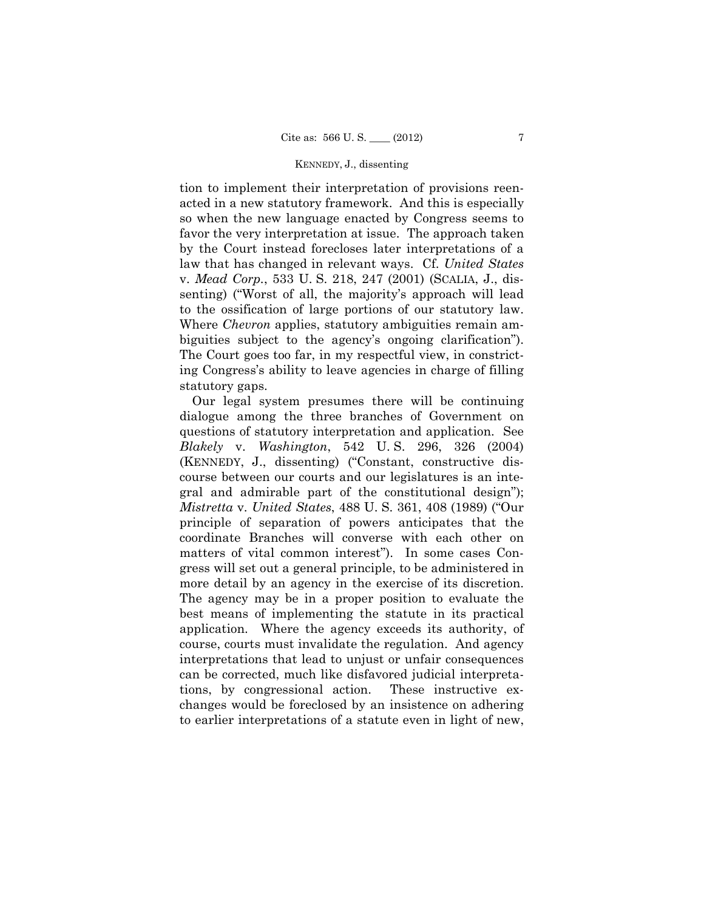tion to implement their interpretation of provisions reenacted in a new statutory framework. And this is especially so when the new language enacted by Congress seems to favor the very interpretation at issue. The approach taken by the Court instead forecloses later interpretations of a law that has changed in relevant ways. Cf. *United States*  v. *Mead Corp.*, 533 U. S. 218, 247 (2001) (SCALIA, J., dissenting) ("Worst of all, the majority's approach will lead to the ossification of large portions of our statutory law. Where *Chevron* applies, statutory ambiguities remain ambiguities subject to the agency's ongoing clarification"). The Court goes too far, in my respectful view, in constricting Congress's ability to leave agencies in charge of filling statutory gaps.

Our legal system presumes there will be continuing dialogue among the three branches of Government on questions of statutory interpretation and application. See *Blakely* v. *Washington*, 542 U. S. 296, 326 (2004) (KENNEDY, J., dissenting) ("Constant, constructive discourse between our courts and our legislatures is an integral and admirable part of the constitutional design"); *Mistretta* v. *United States*, 488 U. S. 361, 408 (1989) ("Our principle of separation of powers anticipates that the coordinate Branches will converse with each other on matters of vital common interest"). In some cases Congress will set out a general principle, to be administered in more detail by an agency in the exercise of its discretion. The agency may be in a proper position to evaluate the best means of implementing the statute in its practical application. Where the agency exceeds its authority, of course, courts must invalidate the regulation. And agency interpretations that lead to unjust or unfair consequences can be corrected, much like disfavored judicial interpretations, by congressional action. These instructive exchanges would be foreclosed by an insistence on adhering to earlier interpretations of a statute even in light of new,